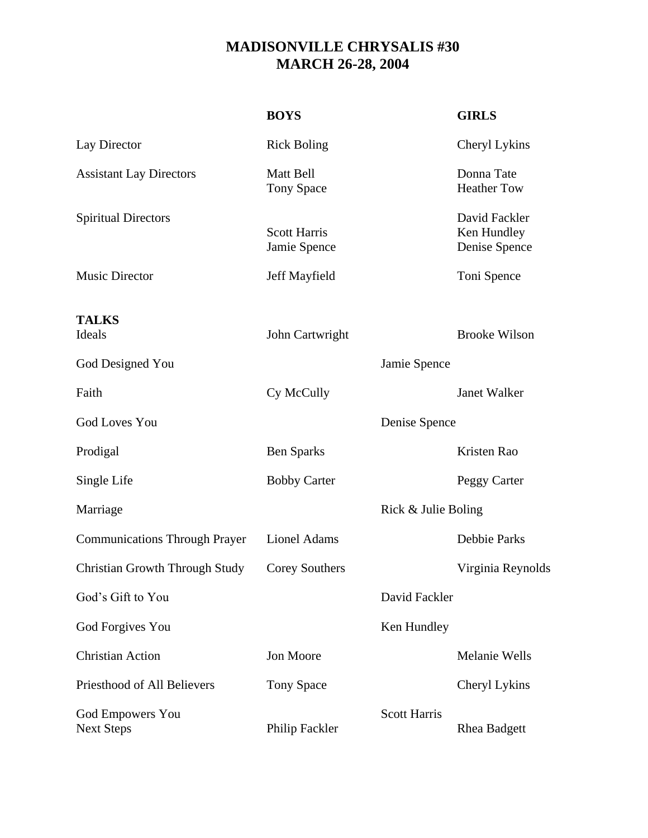## **MADISONVILLE CHRYSALIS #30 MARCH 26-28, 2004**

|                                              | <b>BOYS</b>                         |                     | <b>GIRLS</b>                                  |
|----------------------------------------------|-------------------------------------|---------------------|-----------------------------------------------|
| Lay Director                                 | <b>Rick Boling</b>                  |                     | Cheryl Lykins                                 |
| <b>Assistant Lay Directors</b>               | Matt Bell<br><b>Tony Space</b>      |                     | Donna Tate<br><b>Heather Tow</b>              |
| <b>Spiritual Directors</b>                   | <b>Scott Harris</b><br>Jamie Spence |                     | David Fackler<br>Ken Hundley<br>Denise Spence |
| <b>Music Director</b>                        | Jeff Mayfield                       |                     | Toni Spence                                   |
| <b>TALKS</b><br>Ideals                       | John Cartwright                     |                     | <b>Brooke Wilson</b>                          |
| God Designed You                             |                                     | Jamie Spence        |                                               |
| Faith                                        | Cy McCully                          |                     | <b>Janet Walker</b>                           |
| <b>God Loves You</b>                         |                                     | Denise Spence       |                                               |
| Prodigal                                     | <b>Ben Sparks</b>                   |                     | Kristen Rao                                   |
| Single Life                                  | <b>Bobby Carter</b>                 |                     | Peggy Carter                                  |
| Marriage                                     |                                     | Rick & Julie Boling |                                               |
| <b>Communications Through Prayer</b>         | Lionel Adams                        |                     | Debbie Parks                                  |
| <b>Christian Growth Through Study</b>        | <b>Corey Southers</b>               |                     | Virginia Reynolds                             |
| God's Gift to You                            |                                     | David Fackler       |                                               |
| God Forgives You                             |                                     | Ken Hundley         |                                               |
| <b>Christian Action</b>                      | Jon Moore                           |                     | <b>Melanie Wells</b>                          |
| Priesthood of All Believers                  | <b>Tony Space</b>                   |                     | Cheryl Lykins                                 |
| <b>God Empowers You</b><br><b>Next Steps</b> | Philip Fackler                      | <b>Scott Harris</b> | <b>Rhea Badgett</b>                           |